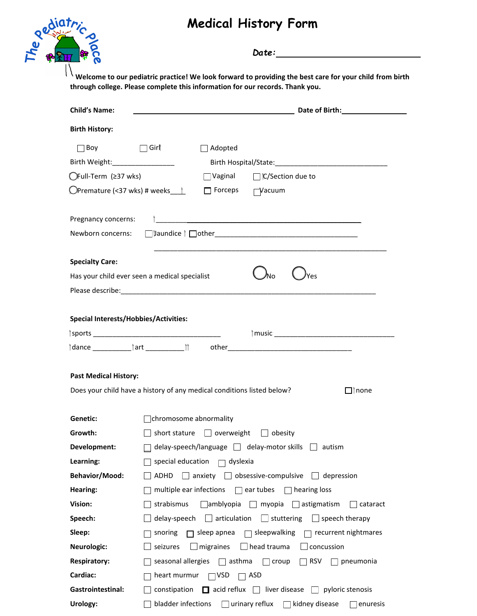## **Medical History Form**



*Date:*  **Date of Birth:** Adopted Vaginal □ C/Section due to Forceps 
TVacuum \_\_\_\_\_\_\_\_\_\_\_\_\_\_\_\_\_\_\_\_\_\_\_\_\_\_\_\_\_\_\_\_\_\_\_\_\_\_\_\_\_\_\_\_\_\_\_\_\_\_\_\_\_ Jaundice other\_\_\_\_\_\_\_\_\_\_\_\_\_\_\_\_\_\_\_\_\_\_\_\_\_\_\_\_\_\_\_\_\_\_\_\_\_ \_\_\_\_\_\_\_\_\_\_\_\_\_\_\_\_\_\_\_\_\_\_\_\_\_\_\_\_\_\_\_\_\_\_\_\_\_\_\_\_\_\_\_\_\_\_\_\_\_\_\_\_\_\_\_\_\_\_\_\_ none

 **Welcome to our pediatric practice! We look forward to providing the best care for your child from birth through college. Please complete this information for our records. Thank you.** 

| <b>Child's Name:</b>                         | Date of Birth: The control of the control of Birth:                                       |  |  |  |  |  |  |
|----------------------------------------------|-------------------------------------------------------------------------------------------|--|--|--|--|--|--|
| <b>Birth History:</b>                        |                                                                                           |  |  |  |  |  |  |
| $\Box$ Boy                                   | $\Box$ Girl $\uparrow$<br>Adopted                                                         |  |  |  |  |  |  |
| Birth Weight:_________________               |                                                                                           |  |  |  |  |  |  |
| ◯Full-Term (≥37 wks)                         | $\Box$ Vaginal $\Box$ $\Box$ C/Section due to                                             |  |  |  |  |  |  |
|                                              | $\Box$ Forceps<br>$\Box$ Vacuum                                                           |  |  |  |  |  |  |
| Pregnancy concerns:<br>Newborn concerns:     |                                                                                           |  |  |  |  |  |  |
|                                              |                                                                                           |  |  |  |  |  |  |
| <b>Specialty Care:</b>                       |                                                                                           |  |  |  |  |  |  |
|                                              | Has your child ever seen a medical specialist<br>'No<br>Yes                               |  |  |  |  |  |  |
|                                              |                                                                                           |  |  |  |  |  |  |
|                                              |                                                                                           |  |  |  |  |  |  |
| <b>Special Interests/Hobbies/Activities:</b> |                                                                                           |  |  |  |  |  |  |
|                                              |                                                                                           |  |  |  |  |  |  |
|                                              |                                                                                           |  |  |  |  |  |  |
|                                              |                                                                                           |  |  |  |  |  |  |
| <b>Past Medical History:</b>                 |                                                                                           |  |  |  |  |  |  |
|                                              | Does your child have a history of any medical conditions listed below?<br>$\square$ †none |  |  |  |  |  |  |
|                                              |                                                                                           |  |  |  |  |  |  |
| Genetic:                                     | chromosome abnormality                                                                    |  |  |  |  |  |  |
| Growth:                                      | $\Box$ short stature $\Box$ overweight $\Box$ obesity                                     |  |  |  |  |  |  |
| Development:                                 | delay-speech/language delay-motor skills autism                                           |  |  |  |  |  |  |
| Learning:                                    | special education $\square$<br>dyslexia                                                   |  |  |  |  |  |  |
| <b>Behavior/Mood:</b>                        | anxiety $\Box$ obsessive-compulsive $\Box$ depression<br>ADHD                             |  |  |  |  |  |  |
| Hearing:                                     | multiple ear infections $\Box$ ear tubes $\Box$ hearing loss                              |  |  |  |  |  |  |
| Vision:                                      | strabismus<br>$\Box$ amblyopia $\Box$ myopia $\Box$ astigmatism<br>cataract               |  |  |  |  |  |  |
| Speech:                                      | delay-speech $\Box$ articulation $\Box$ stuttering<br>$\Box$ speech therapy               |  |  |  |  |  |  |
| Sleep:                                       | $\Box$ sleep apnea<br>$\Box$ sleepwalking<br>$\Box$ recurrent nightmares<br>snoring       |  |  |  |  |  |  |
| Neurologic:                                  | seizures<br>$\Box$ head trauma<br>$\Box$ concussion<br>migraines                          |  |  |  |  |  |  |
| <b>Respiratory:</b>                          | seasonal allergies<br>$\Box$ asthma<br>$\Box$ croup<br>$\Box$ RSV<br>pneumonia            |  |  |  |  |  |  |
| Cardiac:                                     | heart murmur $\Box$ VSD<br>ASD<br>ГΙ                                                      |  |  |  |  |  |  |
| Gastrointestinal:                            | constipation $\Box$ acid reflux $\Box$ liver disease $\Box$ pyloric stenosis              |  |  |  |  |  |  |
| Urology:                                     | bladder infections<br>urinary reflux<br>kidney disease<br>enuresis                        |  |  |  |  |  |  |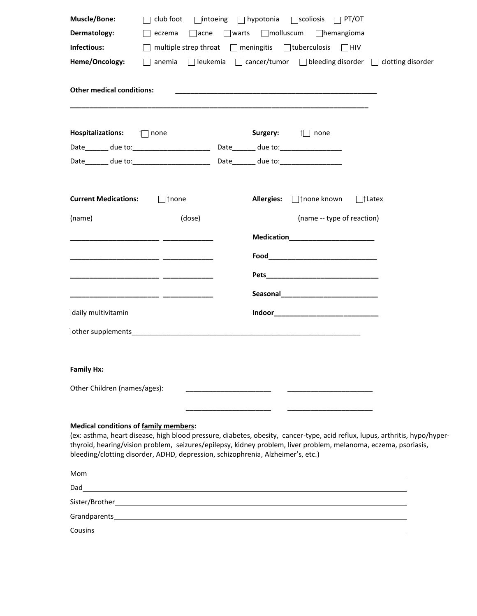| Muscle/Bone:                                                                                                      | club foot                                                                                                                                                                                                                                                                                                                         |  |                                     | $\Box$ intoeing $\Box$ hypotonia $\Box$ scoliosis $\Box$ PT/OT |               |  |  |  |  |
|-------------------------------------------------------------------------------------------------------------------|-----------------------------------------------------------------------------------------------------------------------------------------------------------------------------------------------------------------------------------------------------------------------------------------------------------------------------------|--|-------------------------------------|----------------------------------------------------------------|---------------|--|--|--|--|
| Dermatology:                                                                                                      | eczema                                                                                                                                                                                                                                                                                                                            |  |                                     | acne warts Imolluscum Ihemangioma                              |               |  |  |  |  |
| Infectious:                                                                                                       | multiple strep throat □ meningitis □ tuberculosis □ HIV                                                                                                                                                                                                                                                                           |  |                                     |                                                                |               |  |  |  |  |
| $\Box$ leukemia $\Box$ cancer/tumor $\Box$ bleeding disorder $\Box$ clotting disorder<br>Heme/Oncology:<br>anemia |                                                                                                                                                                                                                                                                                                                                   |  |                                     |                                                                |               |  |  |  |  |
| <b>Other medical conditions:</b>                                                                                  |                                                                                                                                                                                                                                                                                                                                   |  |                                     |                                                                |               |  |  |  |  |
|                                                                                                                   |                                                                                                                                                                                                                                                                                                                                   |  |                                     | Surgery: in none                                               |               |  |  |  |  |
|                                                                                                                   |                                                                                                                                                                                                                                                                                                                                   |  |                                     |                                                                |               |  |  |  |  |
|                                                                                                                   |                                                                                                                                                                                                                                                                                                                                   |  |                                     |                                                                |               |  |  |  |  |
| <b>Current Medications:</b>                                                                                       | $\Box$ inone                                                                                                                                                                                                                                                                                                                      |  | <b>Allergies:</b>                   | □ none known                                                   | $\Box$ †Latex |  |  |  |  |
| (name)                                                                                                            | (dose)                                                                                                                                                                                                                                                                                                                            |  |                                     | (name -- type of reaction)                                     |               |  |  |  |  |
|                                                                                                                   |                                                                                                                                                                                                                                                                                                                                   |  |                                     | Medication_________________________                            |               |  |  |  |  |
|                                                                                                                   |                                                                                                                                                                                                                                                                                                                                   |  |                                     |                                                                |               |  |  |  |  |
|                                                                                                                   |                                                                                                                                                                                                                                                                                                                                   |  |                                     |                                                                |               |  |  |  |  |
|                                                                                                                   |                                                                                                                                                                                                                                                                                                                                   |  |                                     |                                                                |               |  |  |  |  |
|                                                                                                                   |                                                                                                                                                                                                                                                                                                                                   |  |                                     |                                                                |               |  |  |  |  |
| daily multivitamin                                                                                                |                                                                                                                                                                                                                                                                                                                                   |  | Indoor_____________________________ |                                                                |               |  |  |  |  |
|                                                                                                                   |                                                                                                                                                                                                                                                                                                                                   |  |                                     |                                                                |               |  |  |  |  |
|                                                                                                                   |                                                                                                                                                                                                                                                                                                                                   |  |                                     |                                                                |               |  |  |  |  |
| <b>Family Hx:</b>                                                                                                 |                                                                                                                                                                                                                                                                                                                                   |  |                                     |                                                                |               |  |  |  |  |
| Other Children (names/ages):                                                                                      |                                                                                                                                                                                                                                                                                                                                   |  |                                     |                                                                |               |  |  |  |  |
|                                                                                                                   |                                                                                                                                                                                                                                                                                                                                   |  |                                     |                                                                |               |  |  |  |  |
| <b>Medical conditions of family members:</b>                                                                      | (ex: asthma, heart disease, high blood pressure, diabetes, obesity, cancer-type, acid reflux, lupus, arthritis, hypo/hyper-<br>thyroid, hearing/vision problem, seizures/epilepsy, kidney problem, liver problem, melanoma, eczema, psoriasis,<br>bleeding/clotting disorder, ADHD, depression, schizophrenia, Alzheimer's, etc.) |  |                                     |                                                                |               |  |  |  |  |
|                                                                                                                   | Moment and the contract of the contract of the contract of the contract of the contract of the contract of the contract of the contract of the contract of the contract of the contract of the contract of the contract of the                                                                                                    |  |                                     |                                                                |               |  |  |  |  |
|                                                                                                                   |                                                                                                                                                                                                                                                                                                                                   |  |                                     |                                                                |               |  |  |  |  |
|                                                                                                                   |                                                                                                                                                                                                                                                                                                                                   |  |                                     |                                                                |               |  |  |  |  |
|                                                                                                                   |                                                                                                                                                                                                                                                                                                                                   |  |                                     |                                                                |               |  |  |  |  |
|                                                                                                                   |                                                                                                                                                                                                                                                                                                                                   |  |                                     |                                                                |               |  |  |  |  |